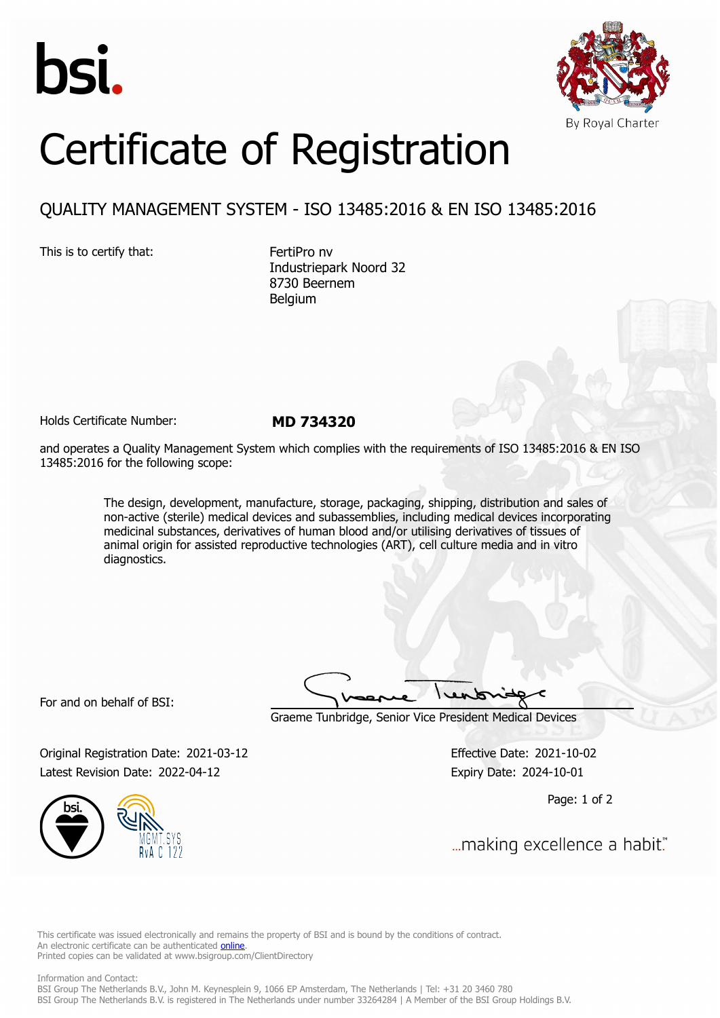



## Certificate of Registration

## QUALITY MANAGEMENT SYSTEM - ISO 13485:2016 & EN ISO 13485:2016

This is to certify that: FertiPro nv

Industriepark Noord 32 8730 Beernem Belgium

Holds Certificate Number: **MD 734320**

and operates a Quality Management System which complies with the requirements of ISO 13485:2016 & EN ISO 13485:2016 for the following scope:

> The design, development, manufacture, storage, packaging, shipping, distribution and sales of non-active (sterile) medical devices and subassemblies, including medical devices incorporating medicinal substances, derivatives of human blood and/or utilising derivatives of tissues of animal origin for assisted reproductive technologies (ART), cell culture media and in vitro diagnostics.

For and on behalf of BSI:

Graeme Tunbridge, Senior Vice President Medical Devices

Original Registration Date: 2021-03-12 Effective Date: 2021-10-02 Latest Revision Date: 2022-04-12 Expiry Date: 2024-10-01

Page: 1 of 2



... making excellence a habit."

This certificate was issued electronically and remains the property of BSI and is bound by the conditions of contract. An electronic certificate can be authenticated **[online](https://pgplus.bsigroup.com/CertificateValidation/CertificateValidator.aspx?CertificateNumber=MD+734320&ReIssueDate=12%2f04%2f2022&Template=uk)**. Printed copies can be validated at www.bsigroup.com/ClientDirectory

Information and Contact: BSI Group The Netherlands B.V., John M. Keynesplein 9, 1066 EP Amsterdam, The Netherlands | Tel: +31 20 3460 780 BSI Group The Netherlands B.V. is registered in The Netherlands under number 33264284 | A Member of the BSI Group Holdings B.V.